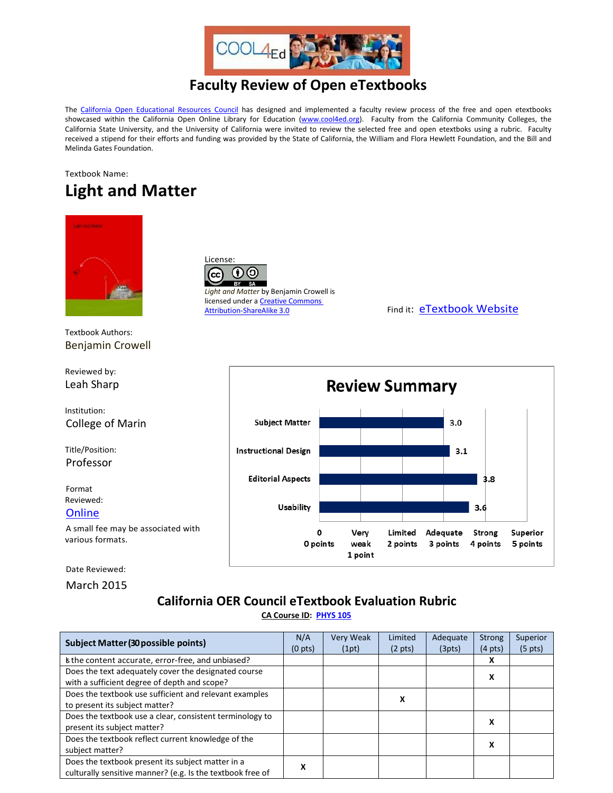

## **Faculty Review of Open eTextbooks**

The [California Open Educational Resources Council](http://icas-ca.org/coerc) has designed and implemented a faculty review process of the free and open etextbooks showcased within the California Open Online Library for Education [\(www.cool4ed.org\)](http://www.cool4ed.org/). Faculty from the California Community Colleges, the California State University, and the University of California were invited to review the selected free and open etextboks using a rubric. Faculty received a stipend for their efforts and funding was provided by the State of California, the William and Flora Hewlett Foundation, and the Bill and Melinda Gates Foundation.

## Textbook Name: **Light and Matter**



Textbook Authors: Benjamin Crowell



Reviewed by: Leah Sharp

Institution: College of Marin

Title/Position: Professor

Format Reviewed:

**[Online](http://www.lightandmatter.com/lm/)** 

A small fee may be associated with various formats.

Date Reviewed:

March 2015

## **California OER Council eTextbook Evaluation Rubric [CA Course ID:](https://c-id.net/about.html) [PHYS 105](https://c-id.net/descriptor_details.html?descriptor=272)**

| <b>Subject Matter (30 possible points)</b>                 |   | Very Weak | Limited           | Adequate | <b>Strong</b>     | Superior          |
|------------------------------------------------------------|---|-----------|-------------------|----------|-------------------|-------------------|
|                                                            |   | (1pt)     | $(2 \text{ pts})$ | (3pts)   | $(4 \text{ pts})$ | $(5 \text{ pts})$ |
| Is the content accurate, error-free, and unbiased?         |   |           |                   |          | x                 |                   |
| Does the text adequately cover the designated course       |   |           |                   |          | x                 |                   |
| with a sufficient degree of depth and scope?               |   |           |                   |          |                   |                   |
| Does the textbook use sufficient and relevant examples     |   |           |                   |          |                   |                   |
| to present its subject matter?                             |   |           | х                 |          |                   |                   |
| Does the textbook use a clear, consistent terminology to   |   |           |                   |          | x                 |                   |
| present its subject matter?                                |   |           |                   |          |                   |                   |
| Does the textbook reflect current knowledge of the         |   |           |                   |          | x                 |                   |
| subject matter?                                            |   |           |                   |          |                   |                   |
| Does the textbook present its subject matter in a          | х |           |                   |          |                   |                   |
| culturally sensitive manner? (e.g. Is the textbook free of |   |           |                   |          |                   |                   |

 $(\dagger)$ (၁) (cc *Light and Matter* by Benjamin Crowell is licensed under a Creative Commons<br>Attribution-ShareAlike 3.0

License:

Find it: [eTextbook Website](http://www.lightandmatter.com/lm/)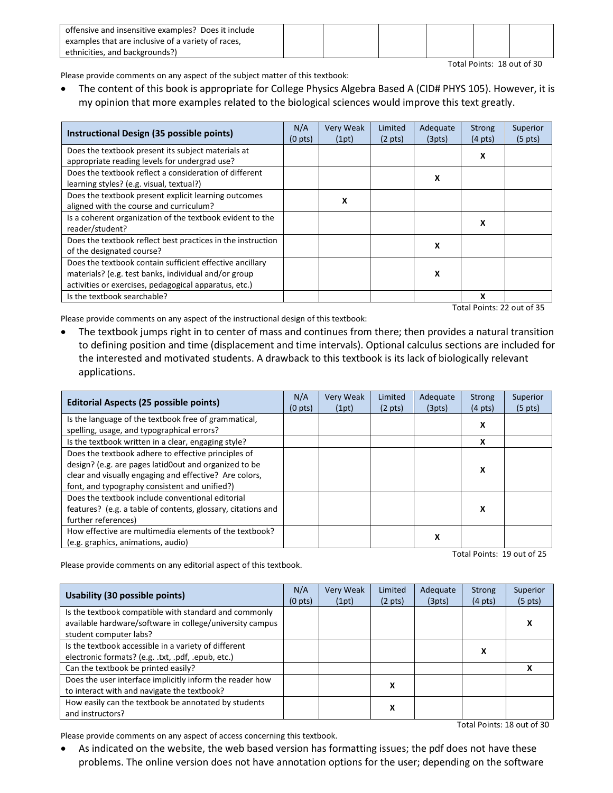| offensive and insensitive examples? Does it include |  |  |  |
|-----------------------------------------------------|--|--|--|
| examples that are inclusive of a variety of races,  |  |  |  |
| ethnicities, and backgrounds?)                      |  |  |  |

Please provide comments on any aspect of the subject matter of this textbook:

• The content of this book is appropriate for College Physics Algebra Based A (CID# PHYS 105). However, it is my opinion that more examples related to the biological sciences would improve this text greatly.

| Instructional Design (35 possible points)                   | N/A<br>(0 <sub>pts</sub> ) | <b>Very Weak</b><br>(1pt) | Limited<br>$(2 \text{ pts})$ | Adequate<br>(3pts) | <b>Strong</b><br>$(4 \text{ pts})$ | Superior<br>$(5 \text{ pts})$ |
|-------------------------------------------------------------|----------------------------|---------------------------|------------------------------|--------------------|------------------------------------|-------------------------------|
| Does the textbook present its subject materials at          |                            |                           |                              |                    | x                                  |                               |
| appropriate reading levels for undergrad use?               |                            |                           |                              |                    |                                    |                               |
| Does the textbook reflect a consideration of different      |                            |                           |                              | x                  |                                    |                               |
| learning styles? (e.g. visual, textual?)                    |                            |                           |                              |                    |                                    |                               |
| Does the textbook present explicit learning outcomes        |                            | x                         |                              |                    |                                    |                               |
| aligned with the course and curriculum?                     |                            |                           |                              |                    |                                    |                               |
| Is a coherent organization of the textbook evident to the   |                            |                           |                              |                    | х                                  |                               |
| reader/student?                                             |                            |                           |                              |                    |                                    |                               |
| Does the textbook reflect best practices in the instruction |                            |                           |                              | x                  |                                    |                               |
| of the designated course?                                   |                            |                           |                              |                    |                                    |                               |
| Does the textbook contain sufficient effective ancillary    |                            |                           |                              |                    |                                    |                               |
| materials? (e.g. test banks, individual and/or group        |                            |                           |                              | x                  |                                    |                               |
| activities or exercises, pedagogical apparatus, etc.)       |                            |                           |                              |                    |                                    |                               |
| Is the textbook searchable?                                 |                            |                           |                              |                    | x                                  |                               |

Total Points: 22 out of 35

Total Points: 18 out of 30

Please provide comments on any aspect of the instructional design of this textbook:

• The textbook jumps right in to center of mass and continues from there; then provides a natural transition to defining position and time (displacement and time intervals). Optional calculus sections are included for the interested and motivated students. A drawback to this textbook is its lack of biologically relevant applications.

| <b>Editorial Aspects (25 possible points)</b>                                                      | N/A<br>(0 <sub>pts</sub> ) | <b>Very Weak</b><br>(1pt) | Limited<br>$(2 \text{ pts})$ | Adequate<br>(3pts) | Strong<br>$(4 \text{ pts})$ | Superior<br>$(5 \text{ pts})$ |
|----------------------------------------------------------------------------------------------------|----------------------------|---------------------------|------------------------------|--------------------|-----------------------------|-------------------------------|
| Is the language of the textbook free of grammatical,<br>spelling, usage, and typographical errors? |                            |                           |                              |                    | X                           |                               |
| Is the textbook written in a clear, engaging style?                                                |                            |                           |                              |                    | X                           |                               |
| Does the textbook adhere to effective principles of                                                |                            |                           |                              |                    |                             |                               |
| design? (e.g. are pages latid0out and organized to be                                              |                            |                           |                              |                    | x                           |                               |
| clear and visually engaging and effective? Are colors,                                             |                            |                           |                              |                    |                             |                               |
| font, and typography consistent and unified?)                                                      |                            |                           |                              |                    |                             |                               |
| Does the textbook include conventional editorial                                                   |                            |                           |                              |                    |                             |                               |
| features? (e.g. a table of contents, glossary, citations and                                       |                            |                           |                              |                    | x                           |                               |
| further references)                                                                                |                            |                           |                              |                    |                             |                               |
| How effective are multimedia elements of the textbook?                                             |                            |                           |                              |                    |                             |                               |
| (e.g. graphics, animations, audio)                                                                 |                            |                           |                              | х                  |                             |                               |

Total Points: 19 out of 25

Please provide comments on any editorial aspect of this textbook.

| <b>Usability (30 possible points)</b>                                                                                                       | N/A<br>(0 <sub>pts</sub> ) | <b>Very Weak</b><br>(1pt) | Limited<br>$(2 \text{ pts})$ | Adequate<br>(3pts) | <b>Strong</b><br>$(4 \text{ pts})$ | Superior<br>$(5 \text{ pts})$ |
|---------------------------------------------------------------------------------------------------------------------------------------------|----------------------------|---------------------------|------------------------------|--------------------|------------------------------------|-------------------------------|
| Is the textbook compatible with standard and commonly<br>available hardware/software in college/university campus<br>student computer labs? |                            |                           |                              |                    |                                    | х                             |
| Is the textbook accessible in a variety of different<br>electronic formats? (e.g. .txt, .pdf, .epub, etc.)                                  |                            |                           |                              |                    | х                                  |                               |
| Can the textbook be printed easily?                                                                                                         |                            |                           |                              |                    |                                    |                               |
| Does the user interface implicitly inform the reader how<br>to interact with and navigate the textbook?                                     |                            |                           | х                            |                    |                                    |                               |
| How easily can the textbook be annotated by students<br>and instructors?                                                                    |                            |                           | х                            |                    |                                    |                               |
| Total Points: 18 out of 30                                                                                                                  |                            |                           |                              |                    |                                    |                               |

Please provide comments on any aspect of access concerning this textbook.

• As indicated on the website, the web based version has formatting issues; the pdf does not have these problems. The online version does not have annotation options for the user; depending on the software